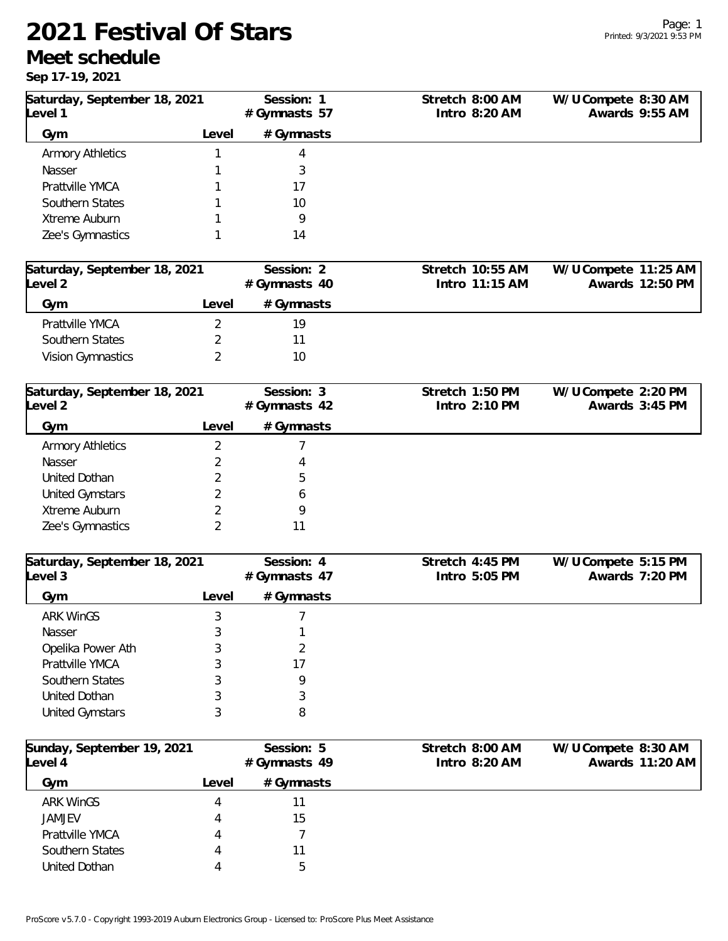## **2021 Festival Of Stars**

## **Meet schedule**

**Sep 17-19, 2021**

| 00p   1   1   202                      |                |                            |                                  |                                       |
|----------------------------------------|----------------|----------------------------|----------------------------------|---------------------------------------|
| Saturday, September 18, 2021<br>evel 1 |                | Session: 1<br>#Gymnasts 57 | Stretch 8:00 AM<br>Intro 8:20 AM | W/U Compete 8:30 AM<br>Awards 9:55 AM |
| Gym                                    | Level          | # Gymnasts                 |                                  |                                       |
| <b>Armory Athletics</b>                | 1              | 4                          |                                  |                                       |
| Nasser                                 |                | 3                          |                                  |                                       |
| Prattville YMCA                        |                | 17                         |                                  |                                       |
| Southern States                        |                | 10                         |                                  |                                       |
| Xtreme Auburn                          |                | 9                          |                                  |                                       |
| Zee's Gymnastics                       | 1              | 14                         |                                  |                                       |
| Saturday, September 18, 2021           |                | Session: 2                 | Stretch 10:55 AM                 | W/U Compete 11:25 AM                  |
| evel 2                                 |                | #Gymnasts 40               | Intro 11:15 AM                   | Awards 12:50 PM                       |
| Gym                                    | Level          | # Gymnasts                 |                                  |                                       |
| Prattville YMCA                        | $\overline{2}$ | 19                         |                                  |                                       |
| Southern States                        | 2              | 11                         |                                  |                                       |
| Vision Gymnastics                      | $\overline{2}$ | 10                         |                                  |                                       |
| Saturday, September 18, 2021           |                | Session: 3                 | Stretch 1:50 PM                  | W/U Compete 2:20 PM                   |
| evel 2                                 |                | # Gymnasts 42              | Intro 2:10 PM                    | Awards 3:45 PM                        |
| Gym                                    | Level          | # Gymnasts                 |                                  |                                       |
| <b>Armory Athletics</b>                | $\overline{2}$ |                            |                                  |                                       |
| Nasser                                 | 2              | 4                          |                                  |                                       |
| United Dothan                          | 2              | 5                          |                                  |                                       |
| <b>United Gymstars</b>                 | $\overline{2}$ | 6                          |                                  |                                       |
| Xtreme Auburn                          | 2              | 9                          |                                  |                                       |
| Zee's Gymnastics                       | 2              | 11                         |                                  |                                       |
| Saturday, September 18, 2021<br>evel 3 |                | Session: 4<br>#Gymnasts 47 | Stretch 4:45 PM<br>Intro 5:05 PM | W/U Compete 5:15 PM<br>Awards 7:20 PM |
| Gym                                    | Level          | # Gymnasts                 |                                  |                                       |
| <b>ARK WinGS</b>                       | 3              |                            |                                  |                                       |
| Nasser                                 | 3              |                            |                                  |                                       |
| Opelika Power Ath                      | 3              | 2                          |                                  |                                       |
| Prattville YMCA                        | 3              | 17                         |                                  |                                       |
| Southern States                        | 3              | 9                          |                                  |                                       |
| United Dothan                          | 3              | 3                          |                                  |                                       |
| <b>United Gymstars</b>                 | 3              | 8                          |                                  |                                       |
| Sunday, September 19, 2021             |                | Session: 5                 | Stretch 8:00 AM                  | W/U Compete 8:30 AM                   |
| evel 4                                 |                | #Gymnasts 49               | Intro 8:20 AM                    | Awards 11:20 AM                       |
| Gym                                    | Level          | # Gymnasts                 |                                  |                                       |
| <b>ARK WinGS</b>                       | 4              | 11                         |                                  |                                       |
| <b>JAMJEV</b>                          | 4              | 15                         |                                  |                                       |
| Prattville YMCA                        | 4              | 7                          |                                  |                                       |
| Southern States                        |                | 11                         |                                  |                                       |
| United Dothan                          | 4              | 5                          |                                  |                                       |